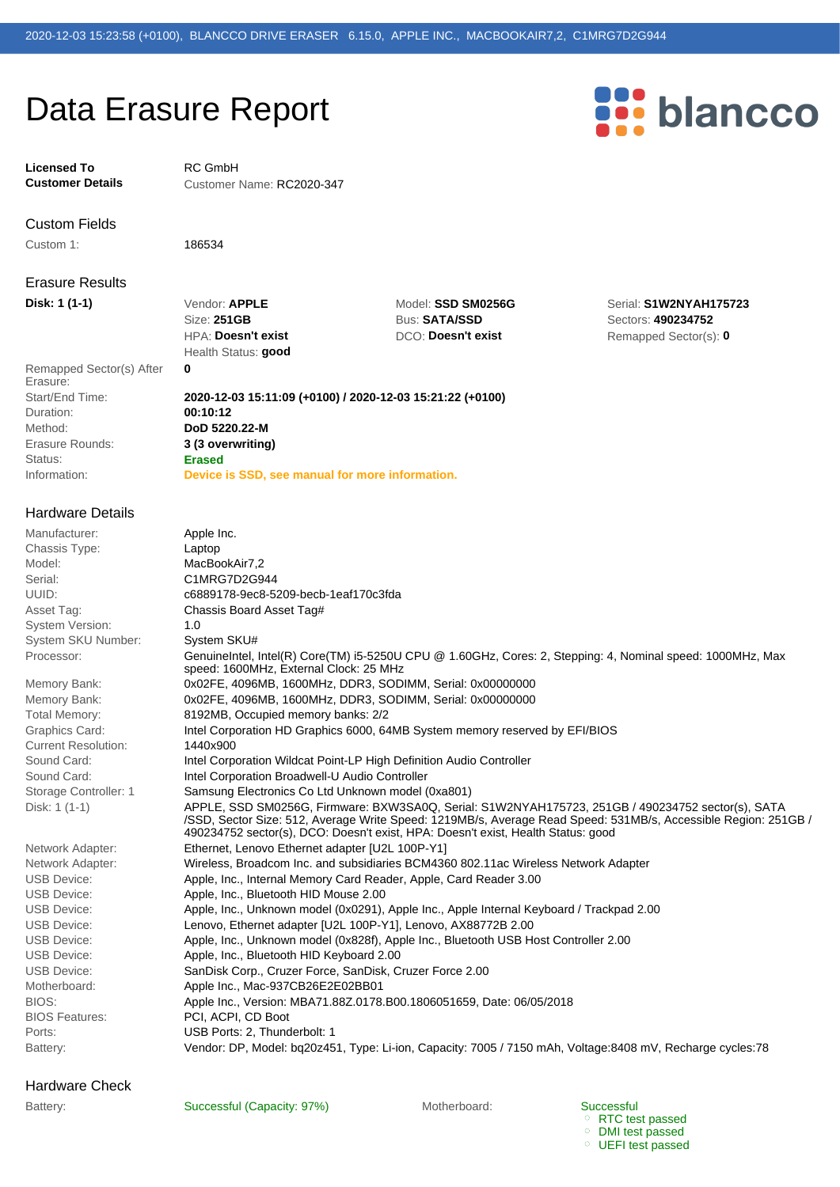# Data Erasure Report

**Licensed To** RC GmbH

**Customer Details** Customer Name: RC2020-347

Custom Fields

Custom 1: 186534

Erasure Results

Status: **Erased** Erasure Rounds: **3 (3 overwriting)** Method: **DoD 5220.22-M** Duration: **00:10:12** Start/End Time: **2020-12-03 15:11:09 (+0100) / 2020-12-03 15:21:22 (+0100)** Remapped Sector(s) After **0** Erasure:

### Hardware Details

Processor: System SKU Number: System SKU# System Version: 1.0 Model: MacBookAir7.2 Chassis Type: Laptop Manufacturer: Apple Inc.

Disk: 1 (1-1) Current Resolution: 1440x900

Hardware Check

Health Status: **good** HPA: **Doesn't exist DCO: Doesn't exist** Remapped Sector(s): **0** Size: **251GB** Bus: **SATA/SSD** Sectors: **490234752**

**Disk: 1 (1-1)** Vendor: **APPLE** Model: **SSD SM0256G** Serial: **S1W2NYAH175723**

Information: **Device is SSD, see manual for more information.** 

Battery: Vendor: DP, Model: bq20z451, Type: Li-ion, Capacity: 7005 / 7150 mAh, Voltage:8408 mV, Recharge cycles:78 Ports: 2, Thunderbolt: 1 BIOS Features: PCI, ACPI, CD Boot BIOS: Apple Inc., Version: MBA71.88Z.0178.B00.1806051659, Date: 06/05/2018 Motherboard: Apple Inc., Mac-937CB26E2E02BB01 USB Device: SanDisk Corp., Cruzer Force, SanDisk, Cruzer Force 2.00 USB Device: **Apple, Inc., Bluetooth HID Keyboard 2.00** USB Device: Apple, Inc., Unknown model (0x828f), Apple Inc., Bluetooth USB Host Controller 2.00 USB Device: Lenovo, Ethernet adapter [U2L 100P-Y1], Lenovo, AX88772B 2.00 USB Device: Apple, Inc., Unknown model (0x0291), Apple Inc., Apple Internal Keyboard / Trackpad 2.00 USB Device: Apple, Inc., Bluetooth HID Mouse 2.00 USB Device: Apple, Inc., Internal Memory Card Reader, Apple, Card Reader 3.00 Network Adapter: Wireless, Broadcom Inc. and subsidiaries BCM4360 802.11ac Wireless Network Adapter Network Adapter: Ethernet, Lenovo Ethernet adapter [U2L 100P-Y1] APPLE, SSD SM0256G, Firmware: BXW3SA0Q, Serial: S1W2NYAH175723, 251GB / 490234752 sector(s), SATA /SSD, Sector Size: 512, Average Write Speed: 1219MB/s, Average Read Speed: 531MB/s, Accessible Region: 251GB / 490234752 sector(s), DCO: Doesn't exist, HPA: Doesn't exist, Health Status: good Storage Controller: 1 Samsung Electronics Co Ltd Unknown model (0xa801) Sound Card: **Intel Corporation Broadwell-U Audio Controller** Sound Card: Intel Corporation Wildcat Point-LP High Definition Audio Controller Graphics Card: Intel Corporation HD Graphics 6000, 64MB System memory reserved by EFI/BIOS Total Memory: 8192MB, Occupied memory banks: 2/2 Memory Bank: 0x02FE, 4096MB, 1600MHz, DDR3, SODIMM, Serial: 0x00000000 Memory Bank: 0x02FE, 4096MB, 1600MHz, DDR3, SODIMM, Serial: 0x00000000 GenuineIntel, Intel(R) Core(TM) i5-5250U CPU @ 1.60GHz, Cores: 2, Stepping: 4, Nominal speed: 1000MHz, Max speed: 1600MHz, External Clock: 25 MHz Asset Tag: Chassis Board Asset Tag# UUID: c6889178-9ec8-5209-becb-1eaf170c3fda Serial: C1MRG7D2G944

Battery: Successful (Capacity: 97%) Motherboard: Motherboard:

Successful RTC test passed DMI test passed

UEFI test passed

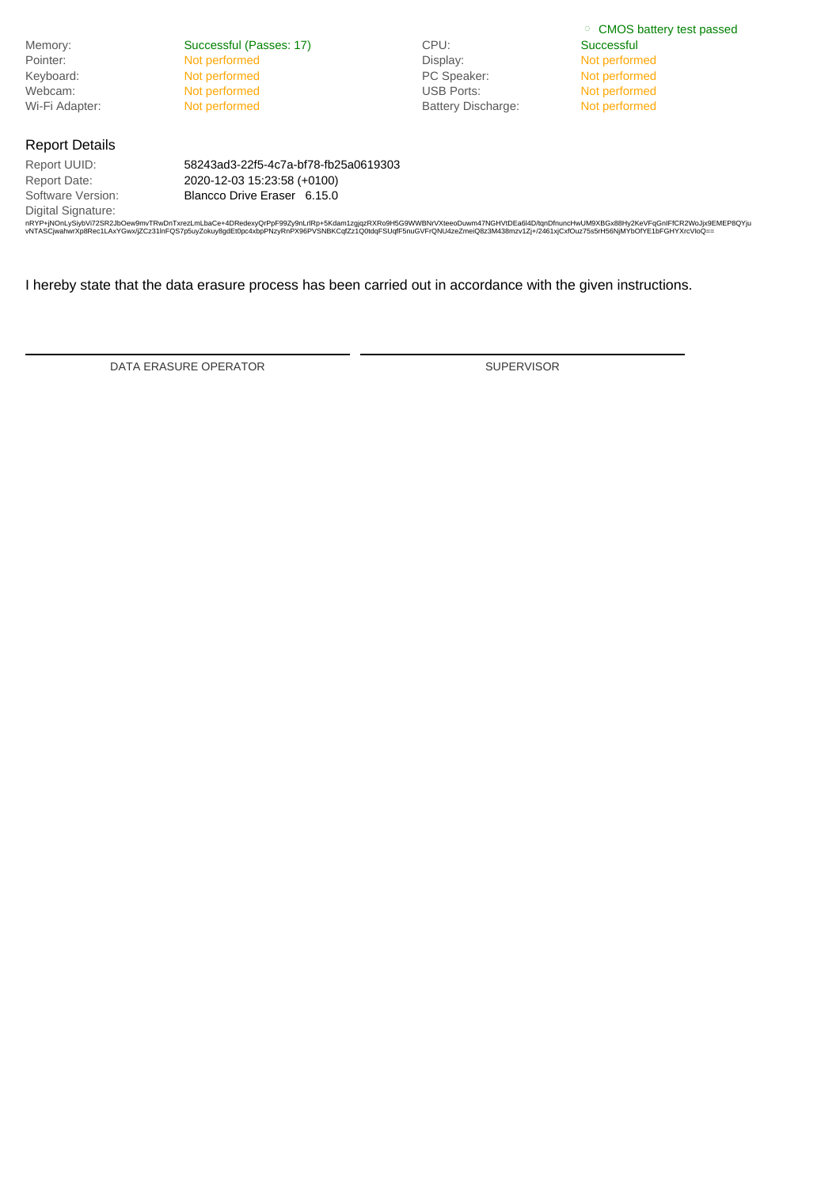|                       |                                      |                           | ○ CMOS battery test passed |
|-----------------------|--------------------------------------|---------------------------|----------------------------|
| Memory:               | Successful (Passes: 17)              | CPU:                      | Successful                 |
| Pointer:              | Not performed                        | Display:                  | Not performed              |
| Keyboard:             | Not performed                        | PC Speaker:               | Not performed              |
| Webcam:               | Not performed                        | <b>USB Ports:</b>         | Not performed              |
| Wi-Fi Adapter:        | Not performed                        | <b>Battery Discharge:</b> | Not performed              |
| <b>Report Details</b> |                                      |                           |                            |
| Report UUID:          | 58243ad3-22f5-4c7a-bf78-fb25a0619303 |                           |                            |
| Report Date:          | 2020-12-03 15:23:58 (+0100)          |                           |                            |
| Software Version:     | Blancco Drive Eraser 6.15.0          |                           |                            |
| Digital Signature:    |                                      |                           |                            |

nRYP+jNOnLySiybVi72SR2JbOew9mvTRwDnTxrezLmLbaCe+4DRedexyQrPpF9925yhLifRp+5Kdam1zgjqzRXfko9H5G9WWDMxVXteeDUwm47NGHVUDEa6ND/tqlnChunch+wUM9XBGx88Hy2KeVFqGnIFfCR2VvbjxeEC<br>vNTASCjwahwrXp8Rec1LAxYGwx/jZCz31InFQS7p5uyZokuy8gdEt0

I hereby state that the data erasure process has been carried out in accordance with the given instructions.

DATA ERASURE OPERATOR SUPERVISOR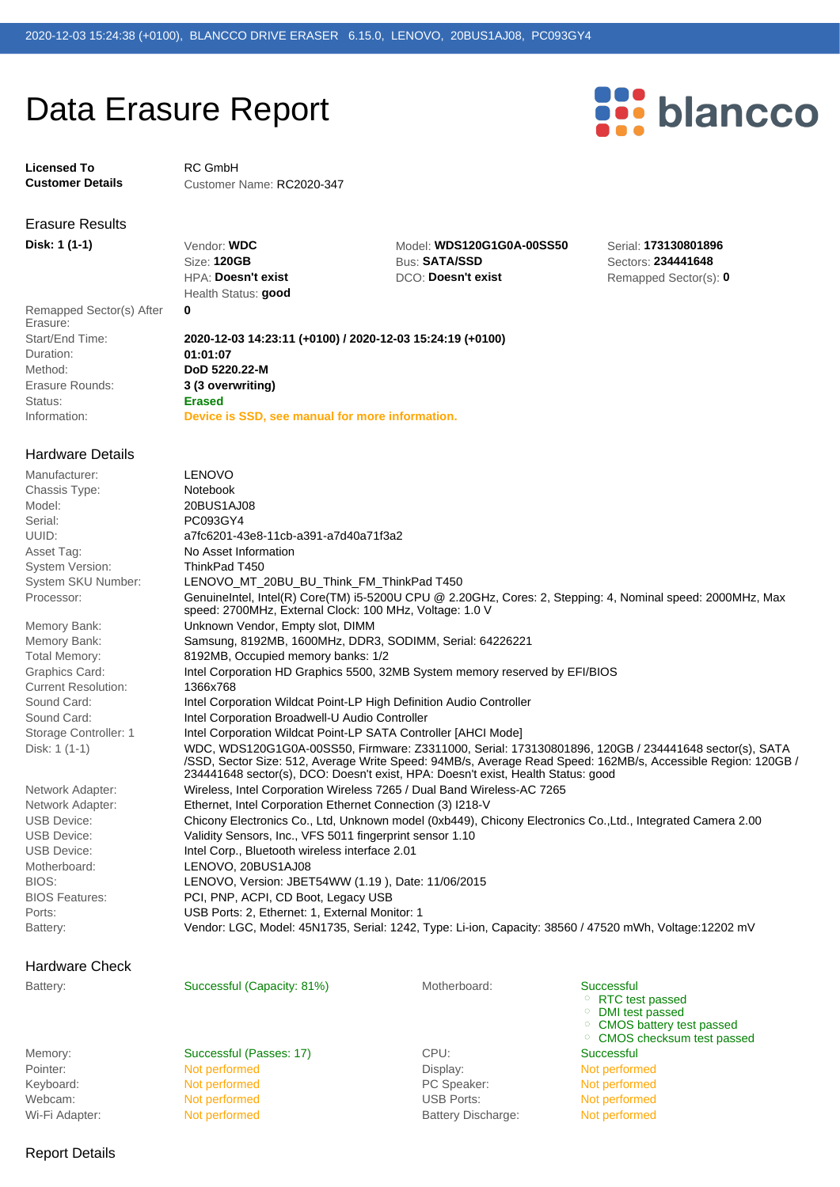## Data Erasure Report

**Licensed To** RC GmbH

**Customer Details** Customer Name: RC2020-347

# Erasure Results

Status: **Erased** Erasure Rounds: **3 (3 overwriting)** Method: **DoD 5220.22-M** Duration: **01:01:07** Remapped Sector(s) After **0** Erasure:

Health Status: **good**

HPA: **Doesn't exist** DCO: **Doesn't exist** Remapped Sector(s): 0 Size: **120GB** Bus: **SATA/SSD** Sectors: **234441648 Disk: 1 (1-1)** Vendor: **WDC** Model: **WDS120G1G0A-00SS50** Serial: **173130801896**

**Dianceo** 

Information: **Device is SSD, see manual for more information.**  Start/End Time: **2020-12-03 14:23:11 (+0100) / 2020-12-03 15:24:19 (+0100)**

#### Battery: Vendor: LGC, Model: 45N1735, Serial: 1242, Type: Li-ion, Capacity: 38560 / 47520 mWh, Voltage:12202 mV Ports: USB Ports: 2, Ethernet: 1, External Monitor: 1 BIOS Features: PCI, PNP, ACPI, CD Boot, Legacy USB BIOS: LENOVO, Version: JBET54WW (1.19 ), Date: 11/06/2015 Motherboard: LENOVO, 20BUS1AJ08 USB Device: Intel Corp., Bluetooth wireless interface 2.01 USB Device: Validity Sensors, Inc., VFS 5011 fingerprint sensor 1.10 USB Device: Chicony Electronics Co., Ltd, Unknown model (0xb449), Chicony Electronics Co.,Ltd., Integrated Camera 2.00 Network Adapter: Ethernet, Intel Corporation Ethernet Connection (3) I218-V Network Adapter: Wireless, Intel Corporation Wireless 7265 / Dual Band Wireless-AC 7265 WDC, WDS120G1G0A-00SS50, Firmware: Z3311000, Serial: 173130801896, 120GB / 234441648 sector(s), SATA /SSD, Sector Size: 512, Average Write Speed: 94MB/s, Average Read Speed: 162MB/s, Accessible Region: 120GB / 234441648 sector(s), DCO: Doesn't exist, HPA: Doesn't exist, Health Status: good Disk: 1 (1-1) Storage Controller: 1 Intel Corporation Wildcat Point-LP SATA Controller [AHCI Mode] Sound Card: **Intel Corporation Broadwell-U Audio Controller** Sound Card: Intel Corporation Wildcat Point-LP High Definition Audio Controller Current Resolution: 1366x768 Graphics Card: Intel Corporation HD Graphics 5500, 32MB System memory reserved by EFI/BIOS Total Memory: 8192MB, Occupied memory banks: 1/2 Memory Bank: Samsung, 8192MB, 1600MHz, DDR3, SODIMM, Serial: 64226221 Memory Bank: Unknown Vendor, Empty slot, DIMM GenuineIntel, Intel(R) Core(TM) i5-5200U CPU @ 2.20GHz, Cores: 2, Stepping: 4, Nominal speed: 2000MHz, Max speed: 2700MHz, External Clock: 100 MHz, Voltage: 1.0 V Processor: System SKU Number: LENOVO\_MT\_20BU\_BU\_Think\_FM\_ThinkPad T450 System Version: ThinkPad T450 Asset Tag: No Asset Information UUID: a7fc6201-43e8-11cb-a391-a7d40a71f3a2 Serial: PC093GY4 Model: 20BUS1AJ08 Chassis Type: Notebook Manufacturer: LENOVO Hardware Details

### Hardware Check

Battery: Successful (Capacity: 81%) Motherboard: Motherboard:

Wi-Fi Adapter: Not performed and Battery Discharge: Not performed and Discharge: Not performed Webcam: Not performed USB Ports: Not performed VSB Ports: Keyboard: Not performed PC Speaker: Not performed PC Speaker: Not performed Pointer: Not performed Display: Not performed Display: Not performed Display: Not performed

Memory: Successful (Passes: 17) CPU: Successful

**Successful** RTC test passed DMI test passed CMOS battery test passed <sup>o</sup> CMOS checksum test passed

Report Details